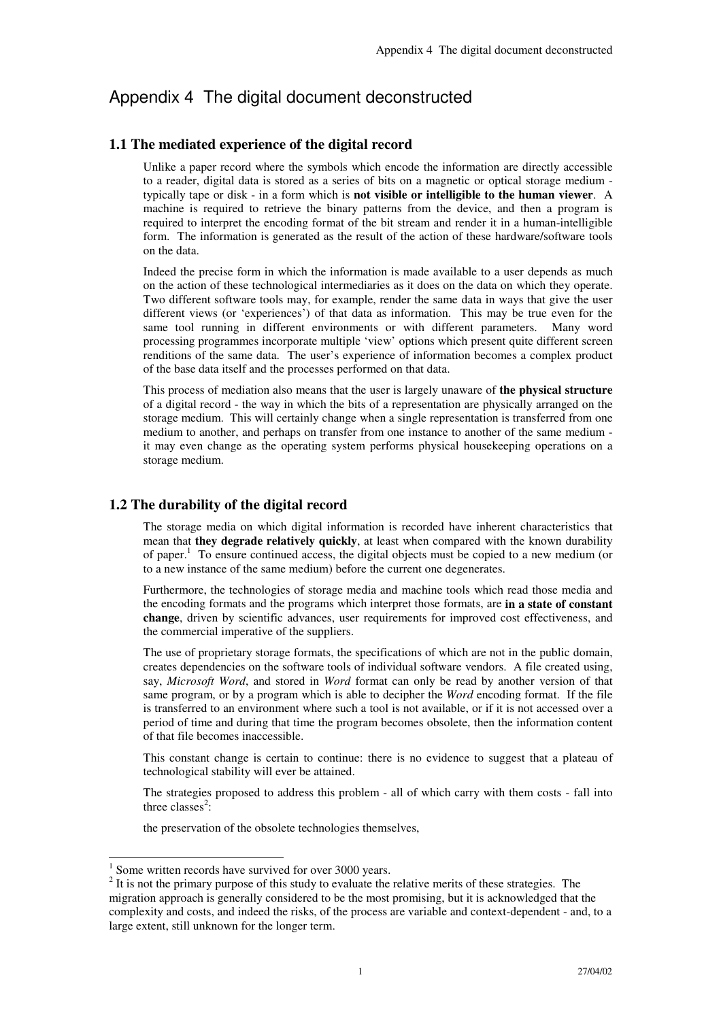# Appendix 4 The digital document deconstructed

## **1.1 The mediated experience of the digital record**

Unlike a paper record where the symbols which encode the information are directly accessible to a reader, digital data is stored as a series of bits on a magnetic or optical storage medium typically tape or disk - in a form which is **not visible or intelligible to the human viewer**. A machine is required to retrieve the binary patterns from the device, and then a program is required to interpret the encoding format of the bit stream and render it in a human-intelligible form. The information is generated as the result of the action of these hardware/software tools on the data.

Indeed the precise form in which the information is made available to a user depends as much on the action of these technological intermediaries as it does on the data on which they operate. Two different software tools may, for example, render the same data in ways that give the user different views (or 'experiences') of that data as information. This may be true even for the same tool running in different environments or with different parameters. Many word processing programmes incorporate multiple 'view' options which present quite different screen renditions of the same data. The user's experience of information becomes a complex product of the base data itself and the processes performed on that data.

This process of mediation also means that the user is largely unaware of **the physical structure** of a digital record - the way in which the bits of a representation are physically arranged on the storage medium. This will certainly change when a single representation is transferred from one medium to another, and perhaps on transfer from one instance to another of the same medium it may even change as the operating system performs physical housekeeping operations on a storage medium.

# **1.2 The durability of the digital record**

The storage media on which digital information is recorded have inherent characteristics that mean that **they degrade relatively quickly**, at least when compared with the known durability of paper.<sup>1</sup> To ensure continued access, the digital objects must be copied to a new medium (or to a new instance of the same medium) before the current one degenerates.

Furthermore, the technologies of storage media and machine tools which read those media and the encoding formats and the programs which interpret those formats, are **in a state of constant change**, driven by scientific advances, user requirements for improved cost effectiveness, and the commercial imperative of the suppliers.

The use of proprietary storage formats, the specifications of which are not in the public domain, creates dependencies on the software tools of individual software vendors. A file created using, say, *Microsoft Word*, and stored in *Word* format can only be read by another version of that same program, or by a program which is able to decipher the *Word* encoding format. If the file is transferred to an environment where such a tool is not available, or if it is not accessed over a period of time and during that time the program becomes obsolete, then the information content of that file becomes inaccessible.

This constant change is certain to continue: there is no evidence to suggest that a plateau of technological stability will ever be attained.

The strategies proposed to address this problem - all of which carry with them costs - fall into three classes<sup>2</sup>:

the preservation of the obsolete technologies themselves,

<sup>&</sup>lt;sup>1</sup> Some written records have survived for over 3000 years.

 $2$  It is not the primary purpose of this study to evaluate the relative merits of these strategies. The migration approach is generally considered to be the most promising, but it is acknowledged that the complexity and costs, and indeed the risks, of the process are variable and context-dependent - and, to a large extent, still unknown for the longer term.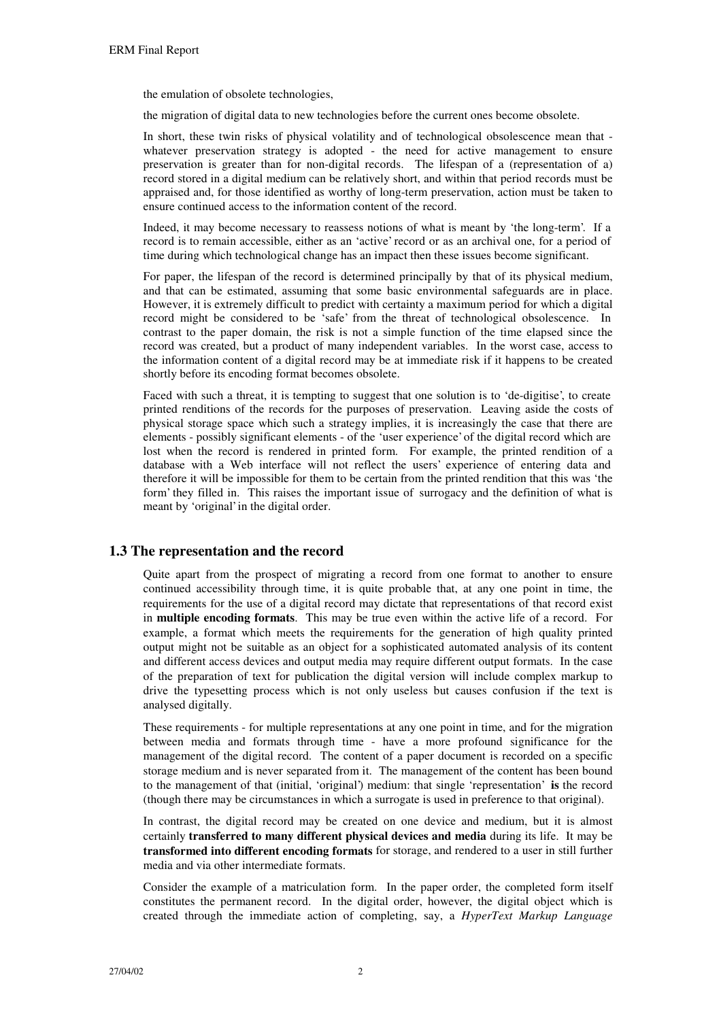the emulation of obsolete technologies,

the migration of digital data to new technologies before the current ones become obsolete.

In short, these twin risks of physical volatility and of technological obsolescence mean that whatever preservation strategy is adopted - the need for active management to ensure preservation is greater than for non-digital records. The lifespan of a (representation of a) record stored in a digital medium can be relatively short, and within that period records must be appraised and, for those identified as worthy of long-term preservation, action must be taken to ensure continued access to the information content of the record.

Indeed, it may become necessary to reassess notions of what is meant by 'the long-term'. If a record is to remain accessible, either as an 'active' record or as an archival one, for a period of time during which technological change has an impact then these issues become significant.

For paper, the lifespan of the record is determined principally by that of its physical medium, and that can be estimated, assuming that some basic environmental safeguards are in place. However, it is extremely difficult to predict with certainty a maximum period for which a digital record might be considered to be 'safe' from the threat of technological obsolescence. In contrast to the paper domain, the risk is not a simple function of the time elapsed since the record was created, but a product of many independent variables. In the worst case, access to the information content of a digital record may be at immediate risk if it happens to be created shortly before its encoding format becomes obsolete.

Faced with such a threat, it is tempting to suggest that one solution is to 'de-digitise', to create printed renditions of the records for the purposes of preservation. Leaving aside the costs of physical storage space which such a strategy implies, it is increasingly the case that there are elements - possibly significant elements - of the 'user experience' of the digital record which are lost when the record is rendered in printed form. For example, the printed rendition of a database with a Web interface will not reflect the users' experience of entering data and therefore it will be impossible for them to be certain from the printed rendition that this was 'the form' they filled in. This raises the important issue of surrogacy and the definition of what is meant by 'original' in the digital order.

#### **1.3 The representation and the record**

Quite apart from the prospect of migrating a record from one format to another to ensure continued accessibility through time, it is quite probable that, at any one point in time, the requirements for the use of a digital record may dictate that representations of that record exist in **multiple encoding formats**. This may be true even within the active life of a record. For example, a format which meets the requirements for the generation of high quality printed output might not be suitable as an object for a sophisticated automated analysis of its content and different access devices and output media may require different output formats. In the case of the preparation of text for publication the digital version will include complex markup to drive the typesetting process which is not only useless but causes confusion if the text is analysed digitally.

These requirements - for multiple representations at any one point in time, and for the migration between media and formats through time - have a more profound significance for the management of the digital record. The content of a paper document is recorded on a specific storage medium and is never separated from it. The management of the content has been bound to the management of that (initial, 'original') medium: that single 'representation' **is** the record (though there may be circumstances in which a surrogate is used in preference to that original).

In contrast, the digital record may be created on one device and medium, but it is almost certainly **transferred to many different physical devices and media** during its life. It may be **transformed into different encoding formats** for storage, and rendered to a user in still further media and via other intermediate formats.

Consider the example of a matriculation form. In the paper order, the completed form itself constitutes the permanent record. In the digital order, however, the digital object which is created through the immediate action of completing, say, a *HyperText Markup Language*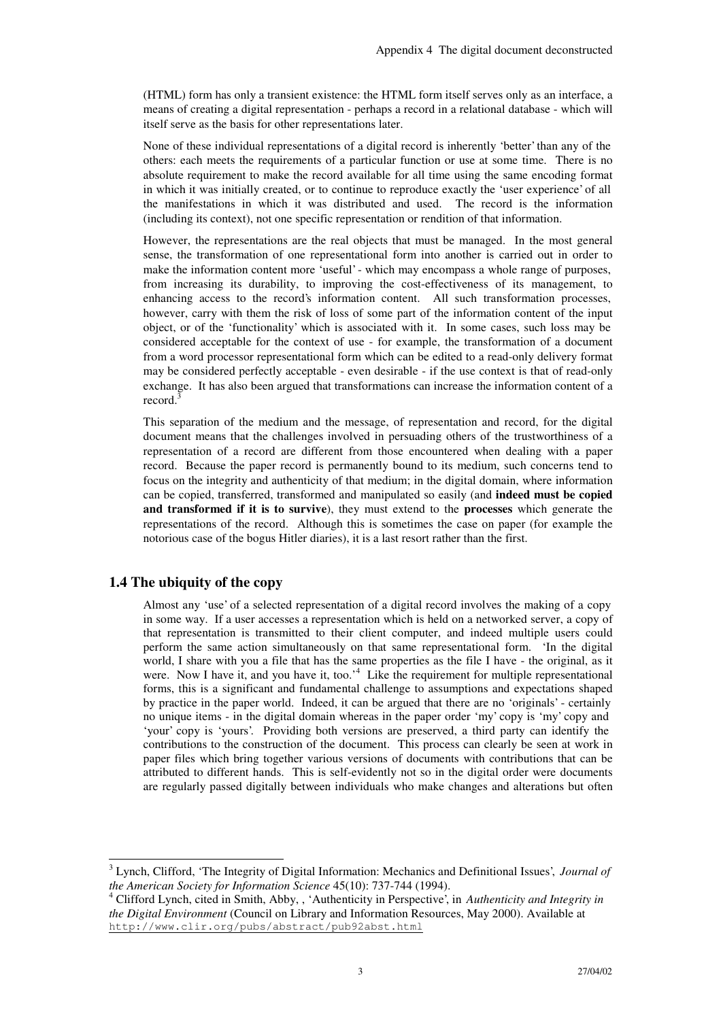(HTML) form has only a transient existence: the HTML form itself serves only as an interface, a means of creating a digital representation - perhaps a record in a relational database - which will itself serve as the basis for other representations later.

None of these individual representations of a digital record is inherently 'better' than any of the others: each meets the requirements of a particular function or use at some time. There is no absolute requirement to make the record available for all time using the same encoding format in which it was initially created, or to continue to reproduce exactly the 'user experience' of all the manifestations in which it was distributed and used. The record is the information (including its context), not one specific representation or rendition of that information.

However, the representations are the real objects that must be managed. In the most general sense, the transformation of one representational form into another is carried out in order to make the information content more 'useful' - which may encompass a whole range of purposes, from increasing its durability, to improving the cost-effectiveness of its management, to enhancing access to the record's information content. All such transformation processes, however, carry with them the risk of loss of some part of the information content of the input object, or of the 'functionality' which is associated with it. In some cases, such loss may be considered acceptable for the context of use - for example, the transformation of a document from a word processor representational form which can be edited to a read-only delivery format may be considered perfectly acceptable - even desirable - if the use context is that of read-only exchange. It has also been argued that transformations can increase the information content of a record. 3

This separation of the medium and the message, of representation and record, for the digital document means that the challenges involved in persuading others of the trustworthiness of a representation of a record are different from those encountered when dealing with a paper record. Because the paper record is permanently bound to its medium, such concerns tend to focus on the integrity and authenticity of that medium; in the digital domain, where information can be copied, transferred, transformed and manipulated so easily (and **indeed must be copied and transformed if it is to survive**), they must extend to the **processes** which generate the representations of the record. Although this is sometimes the case on paper (for example the notorious case of the bogus Hitler diaries), it is a last resort rather than the first.

#### **1.4 The ubiquity of the copy**

l

Almost any 'use' of a selected representation of a digital record involves the making of a copy in some way. If a user accesses a representation which is held on a networked server, a copy of that representation is transmitted to their client computer, and indeed multiple users could perform the same action simultaneously on that same representational form. 'In the digital world, I share with you a file that has the same properties as the file I have - the original, as it were. Now I have it, and you have it, too.<sup>4</sup> Like the requirement for multiple representational forms, this is a significant and fundamental challenge to assumptions and expectations shaped by practice in the paper world. Indeed, it can be argued that there are no 'originals' - certainly no unique items - in the digital domain whereas in the paper order 'my' copy is 'my' copy and 'your' copy is 'yours'. Providing both versions are preserved, a third party can identify the contributions to the construction of the document. This process can clearly be seen at work in paper files which bring together various versions of documents with contributions that can be attributed to different hands. This is self-evidently not so in the digital order were documents are regularly passed digitally between individuals who make changes and alterations but often

<sup>3</sup> Lynch, Clifford, 'The Integrity of Digital Information: Mechanics and Definitional Issues', *Journal of the American Society for Information Science* 45(10): 737-744 (1994).

<sup>4</sup> Clifford Lynch, cited in Smith, Abby, , 'Authenticity in Perspective', in *Authenticity and Integrity in the Digital Environment* (Council on Library and Information Resources, May 2000). Available at http://www.clir.org/pubs/abstract/pub92abst.html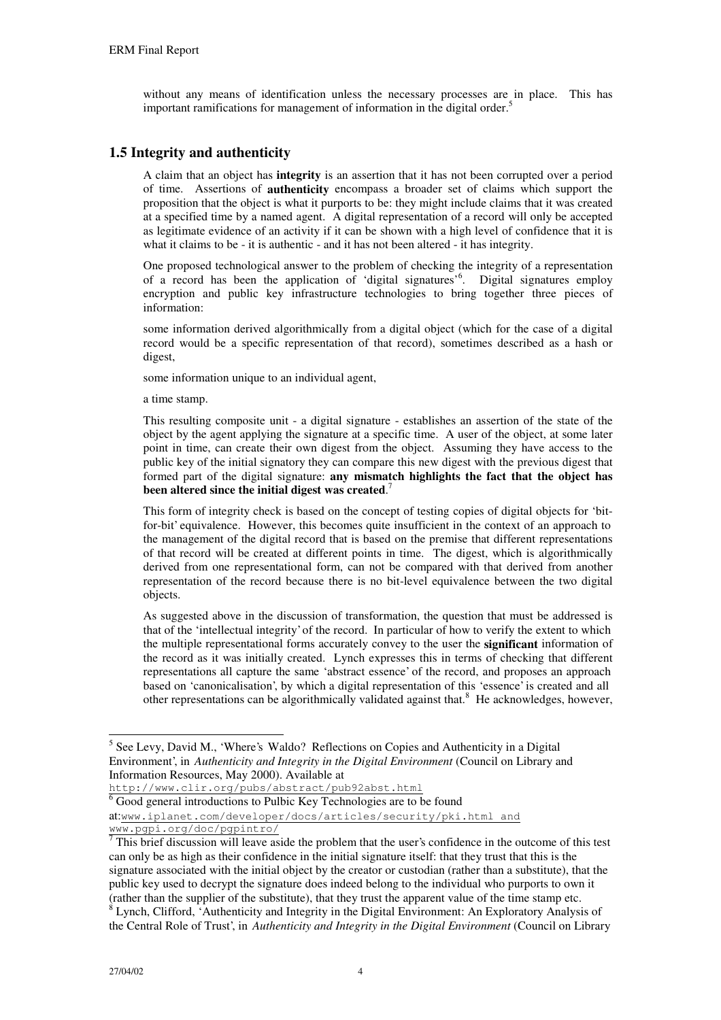without any means of identification unless the necessary processes are in place. This has important ramifications for management of information in the digital order. 5

# **1.5 Integrity and authenticity**

A claim that an object has **integrity** is an assertion that it has not been corrupted over a period of time. Assertions of **authenticity** encompass a broader set of claims which support the proposition that the object is what it purports to be: they might include claims that it was created at a specified time by a named agent. A digital representation of a record will only be accepted as legitimate evidence of an activity if it can be shown with a high level of confidence that it is what it claims to be - it is authentic - and it has not been altered - it has integrity.

One proposed technological answer to the problem of checking the integrity of a representation of a record has been the application of 'digital signatures' 6 . Digital signatures employ encryption and public key infrastructure technologies to bring together three pieces of information:

some information derived algorithmically from a digital object (which for the case of a digital record would be a specific representation of that record), sometimes described as a hash or digest,

some information unique to an individual agent,

a time stamp.

This resulting composite unit - a digital signature - establishes an assertion of the state of the object by the agent applying the signature at a specific time. A user of the object, at some later point in time, can create their own digest from the object. Assuming they have access to the public key of the initial signatory they can compare this new digest with the previous digest that formed part of the digital signature: **any mismatch highlights the fact that the object has been altered since the initial digest was created**. 7

This form of integrity check is based on the concept of testing copies of digital objects for 'bitfor-bit' equivalence. However, this becomes quite insufficient in the context of an approach to the management of the digital record that is based on the premise that different representations of that record will be created at different points in time. The digest, which is algorithmically derived from one representational form, can not be compared with that derived from another representation of the record because there is no bit-level equivalence between the two digital objects.

As suggested above in the discussion of transformation, the question that must be addressed is that of the 'intellectual integrity' of the record. In particular of how to verify the extent to which the multiple representational forms accurately convey to the user the **significant** information of the record as it was initially created. Lynch expresses this in terms of checking that different representations all capture the same 'abstract essence' of the record, and proposes an approach based on 'canonicalisation', by which a digital representation of this 'essence' is created and all other representations can be algorithmically validated against that.<sup>8</sup> He acknowledges, however,

http://www.clir.org/pubs/abstract/pub92abst.html  $\overline{6}$  Good general introductions to Pulbic Key Technologies are to be found at:www.iplanet.com/developer/docs/articles/security/pki.html and www.pgpi.org/doc/pgpintro/

l <sup>5</sup> See Levy, David M., 'Where's Waldo? Reflections on Copies and Authenticity in a Digital Environment', in *Authenticity and Integrity in the Digital Environment* (Council on Library and Information Resources, May 2000). Available at

 $\overline{7}$ This brief discussion will leave aside the problem that the user's confidence in the outcome of this test can only be as high as their confidence in the initial signature itself: that they trust that this is the signature associated with the initial object by the creator or custodian (rather than a substitute), that the public key used to decrypt the signature does indeed belong to the individual who purports to own it (rather than the supplier of the substitute), that they trust the apparent value of the time stamp etc.  $8$  Lynch, Clifford, 'Authenticity and Integrity in the Digital Environment: An Exploratory Analysis of

the Central Role of Trust', in *Authenticity and Integrity in the Digital Environment* (Council on Library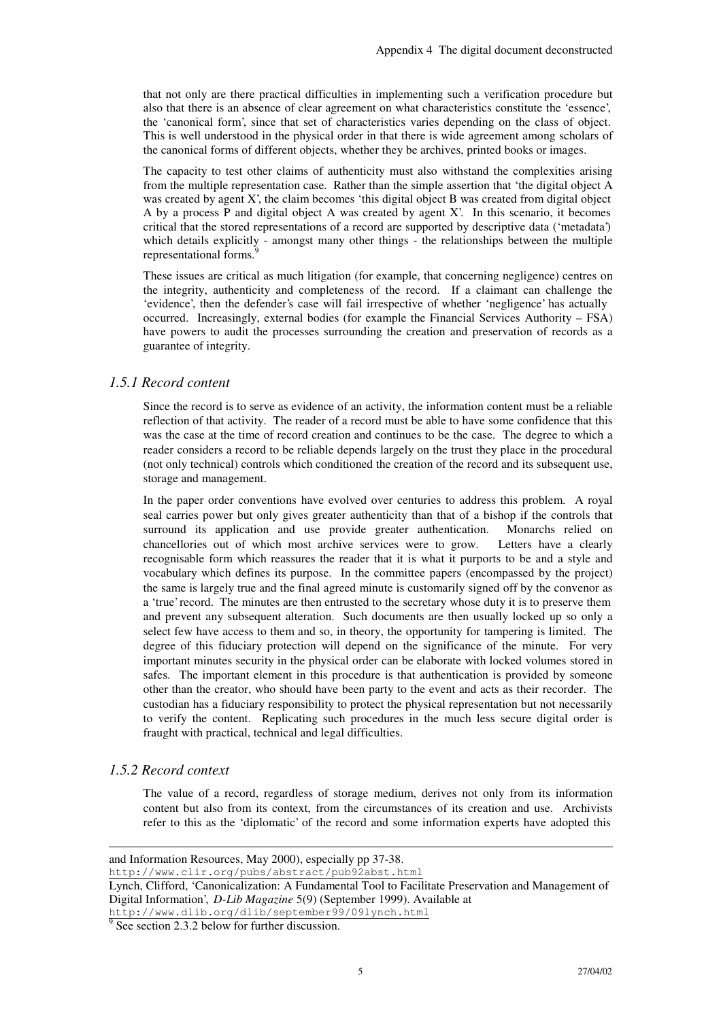that not only are there practical difficulties in implementing such a verification procedure but also that there is an absence of clear agreement on what characteristics constitute the 'essence', the 'canonical form', since that set of characteristics varies depending on the class of object. This is well understood in the physical order in that there is wide agreement among scholars of the canonical forms of different objects, whether they be archives, printed books or images.

The capacity to test other claims of authenticity must also withstand the complexities arising from the multiple representation case. Rather than the simple assertion that 'the digital object A was created by agent X', the claim becomes 'this digital object B was created from digital object A by a process P and digital object A was created by agent X'. In this scenario, it becomes critical that the stored representations of a record are supported by descriptive data ('metadata') which details explicitly - amongst many other things - the relationships between the multiple representational forms.<sup>9</sup>

These issues are critical as much litigation (for example, that concerning negligence) centres on the integrity, authenticity and completeness of the record. If a claimant can challenge the 'evidence', then the defender's case will fail irrespective of whether 'negligence' has actually occurred. Increasingly, external bodies (for example the Financial Services Authority – FSA) have powers to audit the processes surrounding the creation and preservation of records as a guarantee of integrity.

#### *1.5.1 Record content*

Since the record is to serve as evidence of an activity, the information content must be a reliable reflection of that activity. The reader of a record must be able to have some confidence that this was the case at the time of record creation and continues to be the case. The degree to which a reader considers a record to be reliable depends largely on the trust they place in the procedural (not only technical) controls which conditioned the creation of the record and its subsequent use, storage and management.

In the paper order conventions have evolved over centuries to address this problem. A royal seal carries power but only gives greater authenticity than that of a bishop if the controls that surround its application and use provide greater authentication. Monarchs relied on chancellories out of which most archive services were to grow. Letters have a clearly recognisable form which reassures the reader that it is what it purports to be and a style and vocabulary which defines its purpose. In the committee papers (encompassed by the project) the same is largely true and the final agreed minute is customarily signed off by the convenor as a 'true' record. The minutes are then entrusted to the secretary whose duty it is to preserve them and prevent any subsequent alteration. Such documents are then usually locked up so only a select few have access to them and so, in theory, the opportunity for tampering is limited.The degree of this fiduciary protection will depend on the significance of the minute. For very important minutes security in the physical order can be elaborate with locked volumes stored in safes. The important element in this procedure is that authentication is provided by someone other than the creator, who should have been party to the event and acts as their recorder. The custodian has a fiduciary responsibility to protect the physical representation but not necessarily to verify the content. Replicating such procedures in the much less secure digital order is fraught with practical, technical and legal difficulties.

#### *1.5.2 Record context*

-

The value of a record, regardless of storage medium, derives not only from its information content but also from its context, from the circumstances of its creation and use. Archivists refer to this as the 'diplomatic' of the record and some information experts have adopted this

and Information Resources, May 2000), especially pp 37-38.

http://www.clir.org/pubs/abstract/pub92abst.html Lynch, Clifford, 'Canonicalization: A Fundamental Tool to Facilitate Preservation and Management of Digital Information', *D-Lib Magazine* 5(9) (September 1999). Available at

http://www.dlib.org/dlib/september99/09lynch.html

 $9^9$  See section 2.3.2 below for further discussion.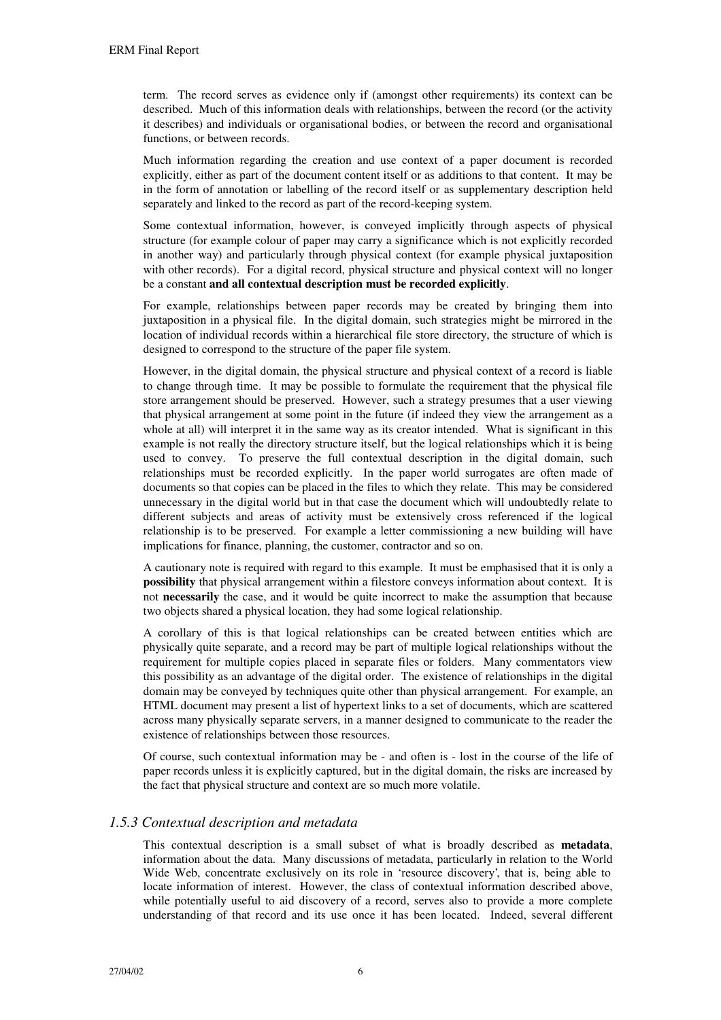term. The record serves as evidence only if (amongst other requirements) its context can be described. Much of this information deals with relationships, between the record (or the activity it describes) and individuals or organisational bodies, or between the record and organisational functions, or between records.

Much information regarding the creation and use context of a paper document is recorded explicitly, either as part of the document content itself or as additions to that content. It may be in the form of annotation or labelling of the record itself or as supplementary description held separately and linked to the record as part of the record-keeping system.

Some contextual information, however, is conveyed implicitly through aspects of physical structure (for example colour of paper may carry a significance which is not explicitly recorded in another way) and particularly through physical context (for example physical juxtaposition with other records). For a digital record, physical structure and physical context will no longer be a constant **and all contextual description must be recorded explicitly**.

For example, relationships between paper records may be created by bringing them into juxtaposition in a physical file. In the digital domain, such strategies might be mirrored in the location of individual records within a hierarchical file store directory, the structure of which is designed to correspond to the structure of the paper file system.

However, in the digital domain, the physical structure and physical context of a record is liable to change through time. It may be possible to formulate the requirement that the physical file store arrangement should be preserved. However, such a strategy presumes that a user viewing that physical arrangement at some point in the future (if indeed they view the arrangement as a whole at all) will interpret it in the same way as its creator intended. What is significant in this example is not really the directory structure itself, but the logical relationships which it is being used to convey. To preserve the full contextual description in the digital domain, such relationships must be recorded explicitly. In the paper world surrogates are often made of documents so that copies can be placed in the files to which they relate. This may be considered unnecessary in the digital world but in that case the document which will undoubtedly relate to different subjects and areas of activity must be extensively cross referenced if the logical relationship is to be preserved. For example a letter commissioning a new building will have implications for finance, planning, the customer, contractor and so on.

A cautionary note is required with regard to this example. It must be emphasised that it is only a **possibility** that physical arrangement within a filestore conveys information about context. It is not **necessarily** the case, and it would be quite incorrect to make the assumption that because two objects shared a physical location, they had some logical relationship.

A corollary of this is that logical relationships can be created between entities which are physically quite separate, and a record may be part of multiple logical relationships without the requirement for multiple copies placed in separate files or folders. Many commentators view this possibility as an advantage of the digital order. The existence of relationships in the digital domain may be conveyed by techniques quite other than physical arrangement. For example, an HTML document may present a list of hypertext links to a set of documents, which are scattered across many physically separate servers, in a manner designed to communicate to the reader the existence of relationships between those resources.

Of course, such contextual information may be - and often is - lost in the course of the life of paper records unless it is explicitly captured, but in the digital domain, the risks are increased by the fact that physical structure and context are so much more volatile.

## *1.5.3 Contextual description and metadata*

This contextual description is a small subset of what is broadly described as **metadata**, information about the data. Many discussions of metadata, particularly in relation to the World Wide Web, concentrate exclusively on its role in 'resource discovery', that is, being able to locate information of interest. However, the class of contextual information described above, while potentially useful to aid discovery of a record, serves also to provide a more complete understanding of that record and its use once it has been located. Indeed, several different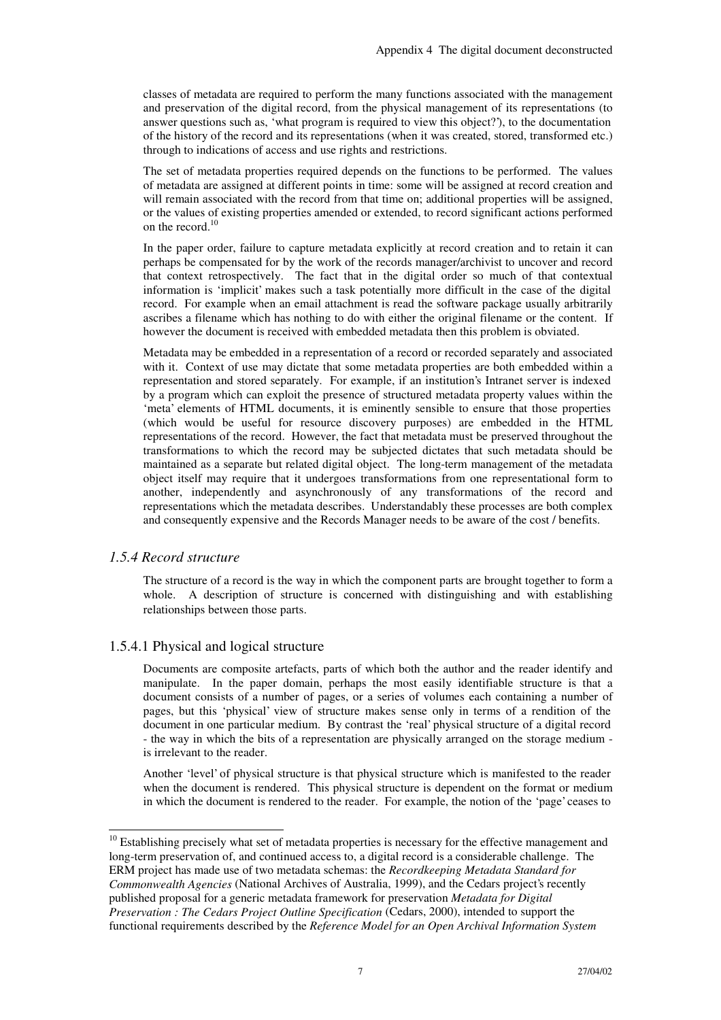classes of metadata are required to perform the many functions associated with the management and preservation of the digital record, from the physical management of its representations (to answer questions such as, 'what program is required to view this object?'), to the documentation of the history of the record and its representations (when it was created, stored, transformed etc.) through to indications of access and use rights and restrictions.

The set of metadata properties required depends on the functions to be performed. The values of metadata are assigned at different points in time: some will be assigned at record creation and will remain associated with the record from that time on; additional properties will be assigned, or the values of existing properties amended or extended, to record significant actions performed on the record. 10

In the paper order, failure to capture metadata explicitly at record creation and to retain it can perhaps be compensated for by the work of the records manager/archivist to uncover and record that context retrospectively. The fact that in the digital order so much of that contextual information is 'implicit' makes such a task potentially more difficult in the case of the digital record. For example when an email attachment is read the software package usually arbitrarily ascribes a filename which has nothing to do with either the original filename or the content. If however the document is received with embedded metadata then this problem is obviated.

Metadata may be embedded in a representation of a record or recorded separately and associated with it. Context of use may dictate that some metadata properties are both embedded within a representation and stored separately. For example, if an institution's Intranet server is indexed by a program which can exploit the presence of structured metadata property values within the 'meta' elements of HTML documents, it is eminently sensible to ensure that those properties (which would be useful for resource discovery purposes) are embedded in the HTML representations of the record. However, the fact that metadata must be preserved throughout the transformations to which the record may be subjected dictates that such metadata should be maintained as a separate but related digital object. The long-term management of the metadata object itself may require that it undergoes transformations from one representational form to another, independently and asynchronously of any transformations of the record and representations which the metadata describes. Understandably these processes are both complex and consequently expensive and the Records Manager needs to be aware of the cost / benefits.

#### *1.5.4 Record structure*

l

The structure of a record is the way in which the component parts are brought together to form a whole. A description of structure is concerned with distinguishing and with establishing relationships between those parts.

#### 1.5.4.1 Physical and logical structure

Documents are composite artefacts, parts of which both the author and the reader identify and manipulate. In the paper domain, perhaps the most easily identifiable structure is that a document consists of a number of pages, or a series of volumes each containing a number of pages, but this 'physical' view of structure makes sense only in terms of a rendition of the document in one particular medium. By contrast the 'real' physical structure of a digital record - the way in which the bits of a representation are physically arranged on the storage medium is irrelevant to the reader.

Another 'level' of physical structure is that physical structure which is manifested to the reader when the document is rendered. This physical structure is dependent on the format or medium in which the document is rendered to the reader. For example, the notion of the 'page' ceases to

<sup>&</sup>lt;sup>10</sup> Establishing precisely what set of metadata properties is necessary for the effective management and long-term preservation of, and continued access to, a digital record is a considerable challenge. The ERM project has made use of two metadata schemas: the *Recordkeeping Metadata Standard for Commonwealth Agencies* (National Archives of Australia, 1999), and the Cedars project's recently published proposal for a generic metadata framework for preservation *Metadata for Digital Preservation : The Cedars Project Outline Specification* (Cedars, 2000), intended to support the functional requirements described by the *Reference Model for an Open Archival Information System*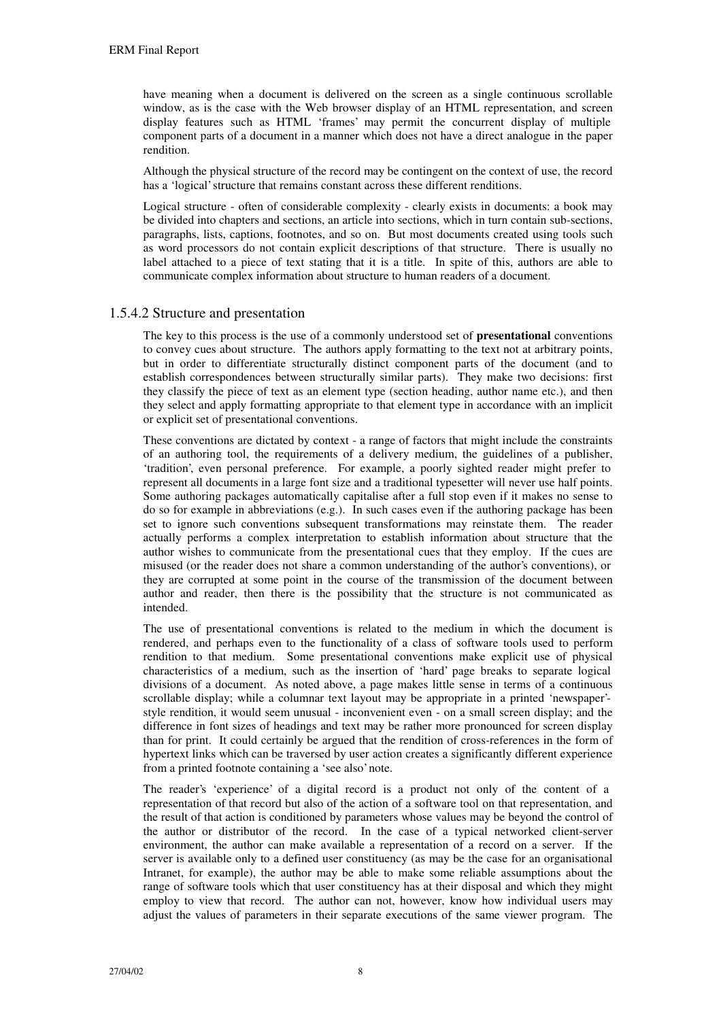have meaning when a document is delivered on the screen as a single continuous scrollable window, as is the case with the Web browser display of an HTML representation, and screen display features such as HTML 'frames' may permit the concurrent display of multiple component parts of a document in a manner which does not have a direct analogue in the paper rendition.

Although the physical structure of the record may be contingent on the context of use, the record has a 'logical' structure that remains constant across these different renditions.

Logical structure - often of considerable complexity - clearly exists in documents: a book may be divided into chapters and sections, an article into sections, which in turn contain sub-sections, paragraphs, lists, captions, footnotes, and so on. But most documents created using tools such as word processors do not contain explicit descriptions of that structure. There is usually no label attached to a piece of text stating that it is a title. In spite of this, authors are able to communicate complex information about structure to human readers of a document.

#### 1.5.4.2 Structure and presentation

The key to this process is the use of a commonly understood set of **presentational** conventions to convey cues about structure. The authors apply formatting to the text not at arbitrary points, but in order to differentiate structurally distinct component parts of the document (and to establish correspondences between structurally similar parts). They make two decisions: first they classify the piece of text as an element type (section heading, author name etc.), and then they select and apply formatting appropriate to that element type in accordance with an implicit or explicit set of presentational conventions.

These conventions are dictated by context - a range of factors that might include the constraints of an authoring tool, the requirements of a delivery medium, the guidelines of a publisher, 'tradition', even personal preference. For example, a poorly sighted reader might prefer to represent all documents in a large font size and a traditional typesetter will never use half points. Some authoring packages automatically capitalise after a full stop even if it makes no sense to do so for example in abbreviations (e.g.). In such cases even if the authoring package has been set to ignore such conventions subsequent transformations may reinstate them. The reader actually performs a complex interpretation to establish information about structure that the author wishes to communicate from the presentational cues that they employ. If the cues are misused (or the reader does not share a common understanding of the author's conventions), or they are corrupted at some point in the course of the transmission of the document between author and reader, then there is the possibility that the structure is not communicated as intended.

The use of presentational conventions is related to the medium in which the document is rendered, and perhaps even to the functionality of a class of software tools used to perform rendition to that medium. Some presentational conventions make explicit use of physical characteristics of a medium, such as the insertion of 'hard' page breaks to separate logical divisions of a document. As noted above, a page makes little sense in terms of a continuous scrollable display; while a columnar text layout may be appropriate in a printed 'newspaper' style rendition, it would seem unusual - inconvenient even - on a small screen display; and the difference in font sizes of headings and text may be rather more pronounced for screen display than for print. It could certainly be argued that the rendition of cross-references in the form of hypertext links which can be traversed by user action creates a significantly different experience from a printed footnote containing a 'see also' note.

The reader's 'experience' of a digital record is a product not only of the content of a representation of that record but also of the action of a software tool on that representation, and the result of that action is conditioned by parameters whose values may be beyond the control of the author or distributor of the record. In the case of a typical networked client-server environment, the author can make available a representation of a record on a server. If the server is available only to a defined user constituency (as may be the case for an organisational Intranet, for example), the author may be able to make some reliable assumptions about the range of software tools which that user constituency has at their disposal and which they might employ to view that record. The author can not, however, know how individual users may adjust the values of parameters in their separate executions of the same viewer program. The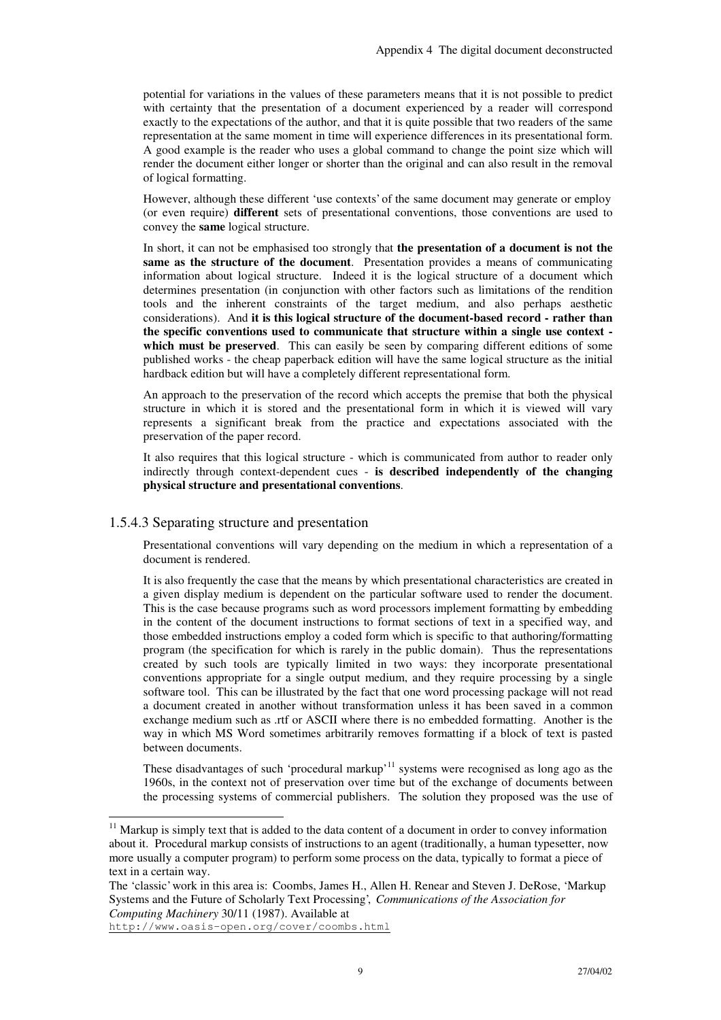potential for variations in the values of these parameters means that it is not possible to predict with certainty that the presentation of a document experienced by a reader will correspond exactly to the expectations of the author, and that it is quite possible that two readers of the same representation at the same moment in time will experience differences in its presentational form. A good example is the reader who uses a global command to change the point size which will render the document either longer or shorter than the original and can also result in the removal of logical formatting.

However, although these different 'use contexts' of the same document may generate or employ (or even require) **different** sets of presentational conventions, those conventions are used to convey the **same** logical structure.

In short, it can not be emphasised too strongly that **the presentation of a document is not the same as the structure of the document**. Presentation provides a means of communicating information about logical structure. Indeed it is the logical structure of a document which determines presentation (in conjunction with other factors such as limitations of the rendition tools and the inherent constraints of the target medium, and also perhaps aesthetic considerations). And **it is this logical structure of the document-based record - rather than the specific conventions used to communicate that structure within a single use context**  which must be preserved. This can easily be seen by comparing different editions of some published works - the cheap paperback edition will have the same logical structure as the initial hardback edition but will have a completely different representational form.

An approach to the preservation of the record which accepts the premise that both the physical structure in which it is stored and the presentational form in which it is viewed will vary represents a significant break from the practice and expectations associated with the preservation of the paper record.

It also requires that this logical structure - which is communicated from author to reader only indirectly through context-dependent cues - **is described independently of the changing physical structure and presentational conventions**.

#### 1.5.4.3 Separating structure and presentation

Presentational conventions will vary depending on the medium in which a representation of a document is rendered.

It is also frequently the case that the means by which presentational characteristics are created in a given display medium is dependent on the particular software used to render the document. This is the case because programs such as word processors implement formatting by embedding in the content of the document instructions to format sections of text in a specified way, and those embedded instructions employ a coded form which is specific to that authoring/formatting program (the specification for which is rarely in the public domain). Thus the representations created by such tools are typically limited in two ways: they incorporate presentational conventions appropriate for a single output medium, and they require processing by a single software tool. This can be illustrated by the fact that one word processing package will not read a document created in another without transformation unless it has been saved in a common exchange medium such as .rtf or ASCII where there is no embedded formatting. Another is the way in which MS Word sometimes arbitrarily removes formatting if a block of text is pasted between documents.

These disadvantages of such 'procedural markup'<sup>11</sup> systems were recognised as long ago as the 1960s, in the context not of preservation over time but of the exchange of documents between the processing systems of commercial publishers. The solution they proposed was the use of

j

<sup>&</sup>lt;sup>11</sup> Markup is simply text that is added to the data content of a document in order to convey information about it. Procedural markup consists of instructions to an agent (traditionally, a human typesetter, now more usually a computer program) to perform some process on the data, typically to format a piece of text in a certain way.

The 'classic' work in this area is: Coombs, James H., Allen H. Renear and Steven J. DeRose, 'Markup Systems and the Future of Scholarly Text Processing', *Communications of the Association for Computing Machinery* 30/11 (1987). Available at

http://www.oasis-open.org/cover/coombs.html